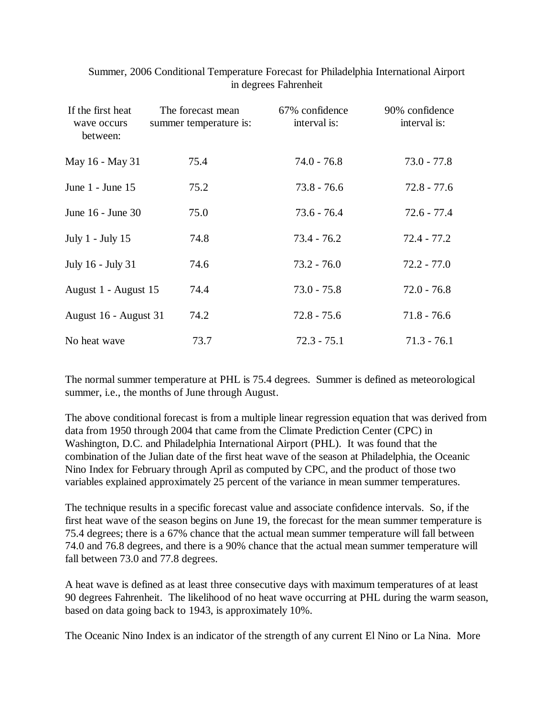| If the first heat<br>wave occurs<br>between: | The forecast mean<br>summer temperature is: | 67% confidence<br>interval is: | 90% confidence<br>interval is: |
|----------------------------------------------|---------------------------------------------|--------------------------------|--------------------------------|
| May 16 - May 31                              | 75.4                                        | $74.0 - 76.8$                  | $73.0 - 77.8$                  |
| June $1$ - June $15$                         | 75.2                                        | $73.8 - 76.6$                  | $72.8 - 77.6$                  |
| June 16 - June 30                            | 75.0                                        | $73.6 - 76.4$                  | $72.6 - 77.4$                  |
| July 1 - July 15                             | 74.8                                        | $73.4 - 76.2$                  | $72.4 - 77.2$                  |
| July 16 - July 31                            | 74.6                                        | $73.2 - 76.0$                  | $72.2 - 77.0$                  |
| August 1 - August 15                         | 74.4                                        | $73.0 - 75.8$                  | $72.0 - 76.8$                  |
| August 16 - August 31                        | 74.2                                        | $72.8 - 75.6$                  | $71.8 - 76.6$                  |
| No heat wave                                 | 73.7                                        | $72.3 - 75.1$                  | $71.3 - 76.1$                  |

 Summer, 2006 Conditional Temperature Forecast for Philadelphia International Airport in degrees Fahrenheit

The normal summer temperature at PHL is 75.4 degrees. Summer is defined as meteorological summer, i.e., the months of June through August.

The above conditional forecast is from a multiple linear regression equation that was derived from data from 1950 through 2004 that came from the Climate Prediction Center (CPC) in Washington, D.C. and Philadelphia International Airport (PHL). It was found that the combination of the Julian date of the first heat wave of the season at Philadelphia, the Oceanic Nino Index for February through April as computed by CPC, and the product of those two variables explained approximately 25 percent of the variance in mean summer temperatures.

The technique results in a specific forecast value and associate confidence intervals. So, if the first heat wave of the season begins on June 19, the forecast for the mean summer temperature is 75.4 degrees; there is a 67% chance that the actual mean summer temperature will fall between 74.0 and 76.8 degrees, and there is a 90% chance that the actual mean summer temperature will fall between 73.0 and 77.8 degrees.

A heat wave is defined as at least three consecutive days with maximum temperatures of at least 90 degrees Fahrenheit. The likelihood of no heat wave occurring at PHL during the warm season, based on data going back to 1943, is approximately 10%.

The Oceanic Nino Index is an indicator of the strength of any current El Nino or La Nina. More